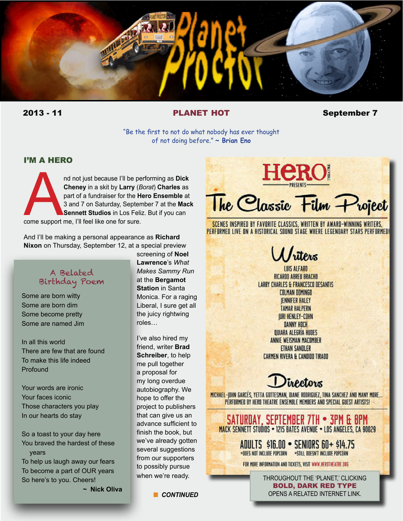

# 2013 - 11 PLANET HOT September 7

"Be the first to not do what nobody has ever thought of not doing before." **~ Brian Eno**

## I'M A HERO

nd not just because I'll be performing as **Dick**<br>Cheney in a skit by Larry (*Borat*) Charles as<br>part of a fundraiser for the Hero Ensemble at<br>3 and 7 on Saturday, September 7 at the Mac<br>Sennett Studios in Los Feliz. But if **Cheney** in a skit by **Larry** (*Borat*) **Charles** as part of a fundraiser for the **Hero Ensemble** at 3 and 7 on Saturday, September 7 at the **Mack Sennett Studios** in Los Feliz. But if you can come support me, I'll feel like one for sure.

And I'll be making a personal appearance as **Richard Nixon** on Thursday, September 12, at a special preview

# A Belated Birthday Poem

Some are born witty Some are born dim Some become pretty Some are named Jim

In all this world There are few that are found To make this life indeed Profound

Your words are ironic Your faces iconic Those characters you play In our hearts do stay

So a toast to your day here You braved the hardest of these years To help us laugh away our fears To become a part of OUR years So here's to you. Cheers!

**~ Nick Oliva**

screening of **Noel Lawrence**'s *What Makes Sammy Run* at the **Bergamot Station** in Santa Monica. For a raging Liberal, I sure get all the juicy rightwing roles…

I've also hired my friend, writer **Brad Schreiber**, to help me pull together a proposal for my long overdue autobiography. We hope to offer the project to publishers that can give us an advance sufficient to finish the book, but we've already gotten several suggestions from our supporters to possibly pursue when we're ready.



SCENES INSPIRED BY FAVORITE CLASSICS, WRITTEN BY AWARD-WINNING WRITERS, PERFORMED LIVE ON A HISTORICAL SOUND STAGE WHERE LEGENDARY STARS PERFORMED!

> Friters **LUIS ALFARD** RICARDO ABREU BRACHO **LARRY CHARLES & FRANCESCO DESANTIS COLMAN DOMINGO IENNIFER HALEY TAMAR HALPERN IURI HENLEY-COHN** DANNY HOCH **QUIARA ALEGRÍA HUDES** ANNIE WEISMAN MACOMBER

**ETHAN SANDLER CARMEN RIVERA & CANDIDO TIRADO** 

*Getors* **It only hurts when you** *don't* **laugh.**

MICHAEL-IOHN GARCÉS, YETTA GOTTESMAN, DIANE RODRIGUEZ, TINA SANCHEZ AND MANY MORE... PERFORMED BY HERO THEATRE ENSEMBLE MEMBERS AND SPECIAL GUEST ARTISTS!

**SATURDAY, SEPTEMBER 7TH . 3PM & 8PM**<br>MACK SENNETT STUDIOS . 1215 BATES AVENUE . LOS ANGELES, CA 90029

ADULTS \$16.00  $\bullet$  Seniors 60+ \$14.75 \*DOES NOT INCLUDE POPCORN \*STILL ODESN'T INCLUDE POPCORN

FOR MORE INFORMATION AND TICKETS, VISIT WWW.HEROTHEATRE.ORG

THROUGHOUT THE 'PLANET,' CLICKING BOLD, DARK RED TYPE n OPENS A RELATED INTERNET LINK. *CONTINUED*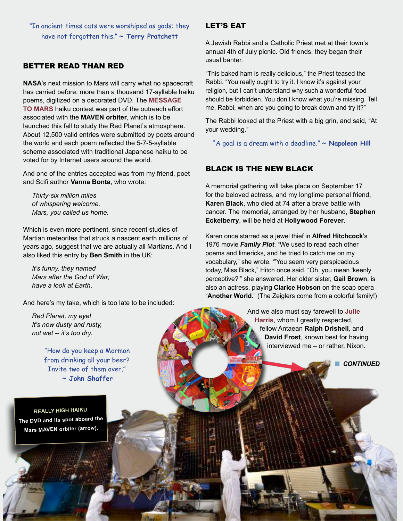"In ancient times cats were worshiped as gods; they have not forgotten this." **~ Terry Pratchett**

## BETTER READ THAN RED

**NASA**'s next mission to Mars will carry what no spacecraft has carried before: more than a thousand 17-syllable haiku poems, digitized on a decorated DVD. The **[MESSAGE](http://www.nbcnews.com/science/maven-mission-team-picks-haiku-red-planet-were-green-envy-6C10881858)  [TO MA](http://www.nbcnews.com/science/maven-mission-team-picks-haiku-red-planet-were-green-envy-6C10881858)RS** haiku contest was part of the outreach effort associated with the **MAVEN orbiter**, which is to be launched this fall to study the Red Planet's atmosphere. About 12,500 valid entries were submitted by poets around the world and each poem reflected the 5-7-5-syllable scheme associated with traditional Japanese haiku to be voted for by Internet users around the world.

And one of the entries accepted was from my friend, poet and Scifi author **Vanna Bonta**, who wrote:

*Thirty-six million miles of whispering welcome. Mars, you called us home.*

Which is even more pertinent, since recent studies of Martian meteorites that struck a nascent earth millions of years ago, suggest that we are actually all Martians. And I also liked this entry by **Ben Smith** in the UK:

*It's funny, they named Mars after the God of War; have a look at Earth*.

And here's my take, which is too late to be included:

*Red Planet, my eye! It's now dusty and rusty, not wet -- it's too dry.*

> "How do you keep a Mormon from drinking all your beer? Invite two of them over." **~ John Shaffer**

**REALLY HIGH HAIKU The DVD and its spot aboard the Mars MAVEN orbiter (arrow).**

### LET'S EAT

A Jewish Rabbi and a Catholic Priest met at their town's annual 4th of July picnic. Old friends, they began their usual banter.

"This baked ham is really delicious," the Priest teased the Rabbi. "You really ought to try it. I know it's against your religion, but I can't understand why such a wonderful food should be forbidden. You don't know what you're missing. Tell me, Rabbi, when are you going to break down and try it?"

The Rabbi looked at the Priest with a big grin, and said, "At your wedding."

"A goal is a dream with a deadline." **~ Napoleon Hill**

#### BLACK IS THE NEW BLACK

A memorial gathering will take place on September 17 for the beloved actress, and my longtime personal friend, **Karen Black**, who died at 74 after a brave battle with cancer. The memorial, arranged by her husband, **Stephen Eckelberry**, will be held at **Hollywood Forever**.

Karen once starred as a jewel thief in **Alfred Hitchcock**'s 1976 movie *Family Plot*. "We used to read each other poems and limericks, and he tried to catch me on my vocabulary," she wrote. '"You seem very perspicacious today, Miss Black," Hitch once said. "Oh, you mean 'keenly perceptive?'" she answered. Her older sister, **Gail Brown**, is also an actress, playing **Clarice Hobson** on the soap opera "**Another World**." (The Zeiglers come from a colorful family!)

> And we also must say farewell to **[Julie](http://www.nytimes.com/2013/08/25/arts/julie-harris-celebrated-actress-of-range-and-intensity-dies-at-87.html?hp)  [Harris](http://www.nytimes.com/2013/08/25/arts/julie-harris-celebrated-actress-of-range-and-intensity-dies-at-87.html?hp)**, whom I greatly respected, fellow Antaean **Ralph Drishell**, and **David Frost**, known best for having interviewed me – or rather, Nixon.

> > **n** CONTINUED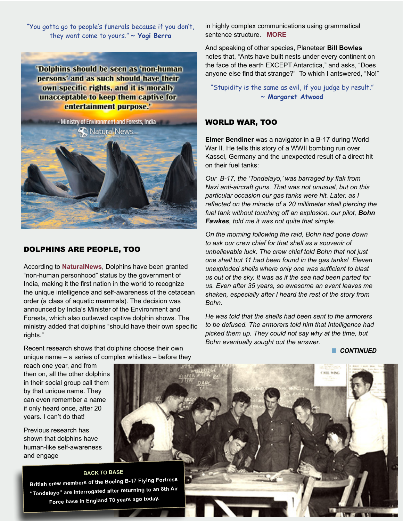"You gotta go to people's funerals because if you don't, they wont come to yours." **~ Yogi Berra**

"Dolphins should be seen as 'non-human persons' and as such should have their own specific rights, and it is morally unacceptable to keep them captive for entertainment purpose."

> - Ministry of Environment and Forests, India **A** Natural News



# DOLPHINS ARE PEOPLE, TOO

According to **[NaturalNews](http://www.naturalnews.com/041547_dolphins_personhood_intelligence.html)**, Dolphins have been granted "non-human personhood" status by the government of India, making it the first nation in the world to recognize the unique intelligence and self-awareness of the cetacean order (a class of aquatic mammals). The decision was announced by India's Minister of the Environment and Forests, which also outlawed captive dolphin shows. The ministry added that dolphins "should have their own specific rights."

Recent research shows that dolphins choose their own unique name – a series of complex whistles – before they in highly complex communications using grammatical sentence structure. **[MORE](http://www.naturalnews.com/041547_dolphins_personhood_intelligence.html#ixzz2bUu2PbVE)**

And speaking of other species, Planeteer **Bill Bowles** notes that, "Ants have built nests under every continent on the face of the earth EXCEPT Antarctica," and asks, "Does anyone else find that strange?" To which I antswered, "No!"

"Stupidity is the same as evil, if you judge by result." **~ Margaret Atwood**

### WORLD WAR, TOO

**Elmer Bendiner** was a navigator in a B-17 during World War II. He tells this story of a WWII bombing run over Kassel, Germany and the unexpected result of a direct hit on their fuel tanks:

*Our B-17, the 'Tondelayo,' was barraged by flak from Nazi anti-aircraft guns. That was not unusual, but on this particular occasion our gas tanks were hit. Later, as I reflected on the miracle of a 20 millimeter shell piercing the fuel tank without touching off an explosion, our pilot, Bohn Fawkes, told me it was not quite that simple.*

*On the morning following the raid, Bohn had gone down to ask our crew chief for that shell as a souvenir of unbelievable luck. The crew chief told Bohn that not just one shell but 11 had been found in the gas tanks! Eleven unexploded shells where only one was sufficient to blast us out of the sky. It was as if the sea had been parted for us. Even after 35 years, so awesome an event leaves me shaken, especially after I heard the rest of the story from Bohn.*

*He was told that the shells had been sent to the armorers to be defused. The armorers told him that Intelligence had picked them up. They could not say why at the time, but Bohn eventually sought out the answer.*

**n** CONTINUED

reach one year, and from then on, all the other dolphins in their social group call them by that unique name. They can even remember a name if only heard once, after 20 years. I can't do that!

Previous research has shown that dolphins have human-like self-awareness and engage



**CALL WIN**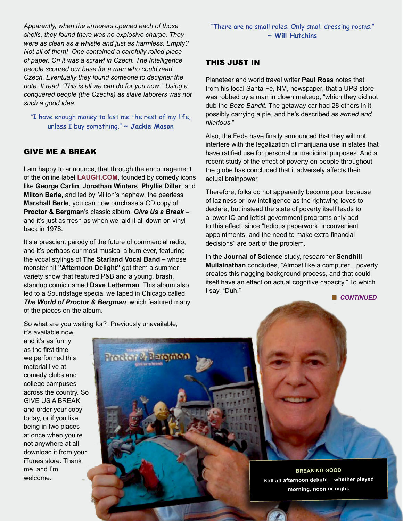*Apparently, when the armorers opened each of those shells, they found there was no explosive charge. They were as clean as a whistle and just as harmless. Empty? Not all of them! One contained a carefully rolled piece of paper. On it was a scrawl in Czech. The Intelligence people scoured our base for a man who could read Czech. Eventually they found someone to decipher the note. It read: 'This is all we can do for you now.' Using a conquered people (the Czechs) as slave laborers was not such a good idea.*

"I have enough money to last me the rest of my life, unless I buy something." **~ Jackie Mason**

# GIVE ME A BREAK

I am happy to announce, that through the encouragement of the online label **[LAUGH.C](http://laughstore.stores.yahoo.net/)OM**, founded by comedy icons like **George Carlin**, **Jonathan Winters**, **Phyllis Diller**, and **Milton Berle,** and led by Milton's nephew, the peerless **Marshall Berle**, you can now purchase a CD copy of **Proctor & Bergman**'s classic album, *Give Us a Break* – and it's just as fresh as when we laid it all down on vinyl back in 1978.

It's a prescient parody of the future of commercial radio, and it's perhaps our most musical album ever, featuring the vocal stylings of **The Starland Vocal Band –** whose monster hit **"Afternoon Delight"** got them a summer variety show that featured P&B and a young, brash, standup comic named **Dave Letterman**. This album also led to a Soundstage special we taped in Chicago called *The World of Proctor & Bergman*, which featured many of the pieces on the album.

So what are you waiting for? Previously unavailable,

it's available now, and it's as funny as the first time we performed this material live at comedy clubs and college campuses across the country. So GIVE US A BREAK and order your copy today, or if you like being in two places at once when you're not anywhere at all, download it from your iTunes store. Thank me, and I'm welcome.

"There are no small roles. Only small dressing rooms." **~ Will Hutchins** 

## THIS JUST IN

Planeteer and world travel writer **Paul Ross** notes that from his local Santa Fe, NM, newspaper, that a UPS store was robbed by a man in clown makeup, "which they did not dub the *Bozo Bandit*. The getaway car had 28 others in it, possibly carrying a pie, and he's described as *armed and hilarious*."

Also, the Feds have finally announced that they will not interfere with the legalization of marijuana use in states that have ratified use for personal or medicinal purposes. And a recent study of the effect of poverty on people throughout the globe has concluded that it adversely affects their actual brainpower.

Therefore, folks do not apparently become poor because of laziness or low intelligence as the rightwing loves to declare, but instead the state of poverty itself leads to a lower IQ and leftist government programs only add to this effect, since "tedious paperwork, inconvenient appointments, and the need to make extra financial decisions" are part of the problem.

In the **Journal of Science** study, researcher **Sendhill Mullainathan** concludes, "Almost like a computer…poverty creates this nagging background process, and that could itself have an effect on actual cognitive capacity." To which I say, "Duh."

**n** *CONTINUED* 

**BREAKING GOOD Still an afternoon delight – whether played morning, noon or night.**